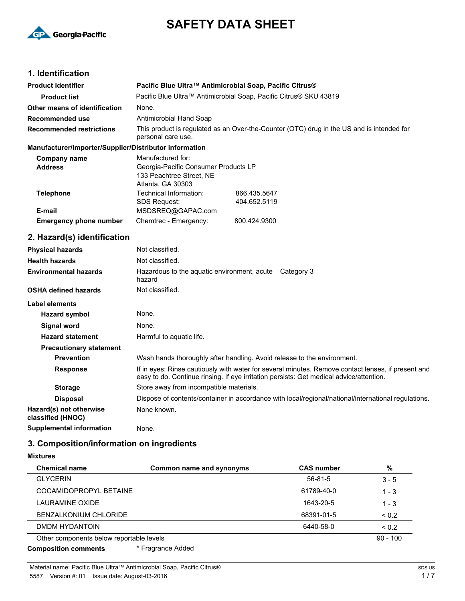

# **SAFETY DATA SHEET**

# **1. Identification**

| <b>Product identifier</b>                              | Pacific Blue Ultra™ Antimicrobial Soap, Pacific Citrus®                                                         |                              |  |
|--------------------------------------------------------|-----------------------------------------------------------------------------------------------------------------|------------------------------|--|
| <b>Product list</b>                                    | Pacific Blue Ultra™ Antimicrobial Soap, Pacific Citrus® SKU 43819                                               |                              |  |
| Other means of identification                          | None.                                                                                                           |                              |  |
| <b>Recommended use</b>                                 | Antimicrobial Hand Soap                                                                                         |                              |  |
| <b>Recommended restrictions</b>                        | This product is regulated as an Over-the-Counter (OTC) drug in the US and is intended for<br>personal care use. |                              |  |
| Manufacturer/Importer/Supplier/Distributor information |                                                                                                                 |                              |  |
| <b>Company name</b><br><b>Address</b>                  | Manufactured for:<br>Georgia-Pacific Consumer Products LP<br>133 Peachtree Street. NE<br>Atlanta, GA 30303      |                              |  |
| <b>Telephone</b>                                       | Technical Information:<br><b>SDS Request:</b>                                                                   | 866.435.5647<br>404.652.5119 |  |
| E-mail                                                 | MSDSREQ@GAPAC.com                                                                                               |                              |  |
| <b>Emergency phone number</b>                          | Chemtrec - Emergency:                                                                                           | 800.424.9300                 |  |
| 2. Hazard(s) identification                            |                                                                                                                 |                              |  |
| <b>Physical hazards</b>                                | Not classified.                                                                                                 |                              |  |
| <b>Health hazards</b>                                  | Not classified.                                                                                                 |                              |  |
| <b>Environmental hazards</b>                           | Hazardous to the aquatic environment, acute Category 3<br>hazard                                                |                              |  |
| <b>OSHA defined hazards</b>                            | Not classified.                                                                                                 |                              |  |
| <b>Label elements</b>                                  |                                                                                                                 |                              |  |
| <b>Hazard symbol</b>                                   | None.                                                                                                           |                              |  |
| Signal word                                            | None.                                                                                                           |                              |  |
| <b>Hazard statement</b>                                | Harmful to aquatic life.                                                                                        |                              |  |

# **3. Composition/information on ingredients**

**Supplemental information** None.

**Storage** Store away from incompatible materials.

None known.

**Precautionary statement**

**Hazard(s) not otherwise classified (HNOC)**

**Mixtures**

| <b>Chemical name</b>                     | Common name and synonyms | <b>CAS number</b> | %          |
|------------------------------------------|--------------------------|-------------------|------------|
| <b>GLYCERIN</b>                          |                          | $56 - 81 - 5$     | $3 - 5$    |
| COCAMIDOPROPYL BETAINE                   |                          | 61789-40-0        | $1 - 3$    |
| LAURAMINE OXIDE                          |                          | 1643-20-5         | $1 - 3$    |
| BENZALKONIUM CHLORIDE                    |                          | 68391-01-5        | ${}_{0.2}$ |
| DMDM HYDANTOIN                           |                          | 6440-58-0         | ${}_{0.2}$ |
| Other components below reportable levels |                          |                   | $90 - 100$ |
| <b>Composition comments</b>              | * Fragrance Added        |                   |            |

**Prevention** Wash hands thoroughly after handling. Avoid release to the environment.

Response If in eyes: Rinse cautiously with water for several minutes. Remove contact lenses, if present and

**Disposal** Dispose of contents/container in accordance with local/regional/national/international regulations.

easy to do. Continue rinsing. If eye irritation persists: Get medical advice/attention.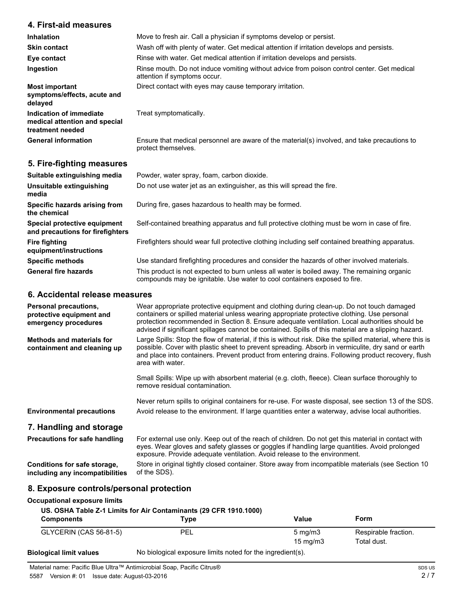# **4. First-aid measures**

| <b>Inhalation</b>                                                            | Move to fresh air. Call a physician if symptoms develop or persist.                                                        |  |
|------------------------------------------------------------------------------|----------------------------------------------------------------------------------------------------------------------------|--|
| <b>Skin contact</b>                                                          | Wash off with plenty of water. Get medical attention if irritation develops and persists.                                  |  |
| Eye contact                                                                  | Rinse with water. Get medical attention if irritation develops and persists.                                               |  |
| Ingestion                                                                    | Rinse mouth. Do not induce vomiting without advice from poison control center. Get medical<br>attention if symptoms occur. |  |
| <b>Most important</b><br>symptoms/effects, acute and<br>delayed              | Direct contact with eyes may cause temporary irritation.                                                                   |  |
| Indication of immediate<br>medical attention and special<br>treatment needed | Treat symptomatically.                                                                                                     |  |
| <b>General information</b>                                                   | Ensure that medical personnel are aware of the material(s) involved, and take precautions to<br>protect themselves.        |  |

# **5. Fire-fighting measures**

| Suitable extinguishing media                                     | Powder, water spray, foam, carbon dioxide.                                                                                                                               |
|------------------------------------------------------------------|--------------------------------------------------------------------------------------------------------------------------------------------------------------------------|
| Unsuitable extinguishing<br>media                                | Do not use water jet as an extinguisher, as this will spread the fire.                                                                                                   |
| Specific hazards arising from<br>the chemical                    | During fire, gases hazardous to health may be formed.                                                                                                                    |
| Special protective equipment<br>and precautions for firefighters | Self-contained breathing apparatus and full protective clothing must be worn in case of fire.                                                                            |
| <b>Fire fighting</b><br>equipment/instructions                   | Firefighters should wear full protective clothing including self contained breathing apparatus.                                                                          |
| <b>Specific methods</b>                                          | Use standard firefighting procedures and consider the hazards of other involved materials.                                                                               |
| <b>General fire hazards</b>                                      | This product is not expected to burn unless all water is boiled away. The remaining organic<br>compounds may be ignitable. Use water to cool containers exposed to fire. |

### **6. Accidental release measures**

| <b>Personal precautions,</b><br>protective equipment and<br>emergency procedures | Wear appropriate protective equipment and clothing during clean-up. Do not touch damaged<br>containers or spilled material unless wearing appropriate protective clothing. Use personal<br>protection recommended in Section 8. Ensure adequate ventilation. Local authorities should be<br>advised if significant spillages cannot be contained. Spills of this material are a slipping hazard. |  |
|----------------------------------------------------------------------------------|--------------------------------------------------------------------------------------------------------------------------------------------------------------------------------------------------------------------------------------------------------------------------------------------------------------------------------------------------------------------------------------------------|--|
| Methods and materials for<br>containment and cleaning up                         | Large Spills: Stop the flow of material, if this is without risk. Dike the spilled material, where this is<br>possible. Cover with plastic sheet to prevent spreading. Absorb in vermiculite, dry sand or earth<br>and place into containers. Prevent product from entering drains. Following product recovery, flush<br>area with water.                                                        |  |
|                                                                                  | Small Spills: Wipe up with absorbent material (e.g. cloth, fleece). Clean surface thoroughly to<br>remove residual contamination.                                                                                                                                                                                                                                                                |  |
| <b>Environmental precautions</b>                                                 | Never return spills to original containers for re-use. For waste disposal, see section 13 of the SDS.<br>Avoid release to the environment. If large quantities enter a waterway, advise local authorities.                                                                                                                                                                                       |  |
| 7. Handling and storage                                                          |                                                                                                                                                                                                                                                                                                                                                                                                  |  |
| <b>Precautions for safe handling</b>                                             | For external use only. Keep out of the reach of children. Do not get this material in contact with<br>eyes. Wear gloves and safety glasses or goggles if handling large quantities. Avoid prolonged<br>exposure. Provide adequate ventilation. Avoid release to the environment.                                                                                                                 |  |
| Conditions for safe storage,<br>including any incompatibilities                  | Store in original tightly closed container. Store away from incompatible materials (see Section 10<br>of the SDS).                                                                                                                                                                                                                                                                               |  |

# **8. Exposure controls/personal protection**

# **Occupational exposure limits**

| <b>Components</b>       | Type                                                      | Value                                 | Form                                |  |
|-------------------------|-----------------------------------------------------------|---------------------------------------|-------------------------------------|--|
| GLYCERIN (CAS 56-81-5)  | PEL                                                       | $5 \text{ mg/m}$<br>$15 \text{ ma/m}$ | Respirable fraction.<br>Total dust. |  |
| anılav timil Ianinoloif | No biological exposure limits noted for the ingredient(s) |                                       |                                     |  |

**Biological limit values** No biological exposure limits noted for the ingredient(s).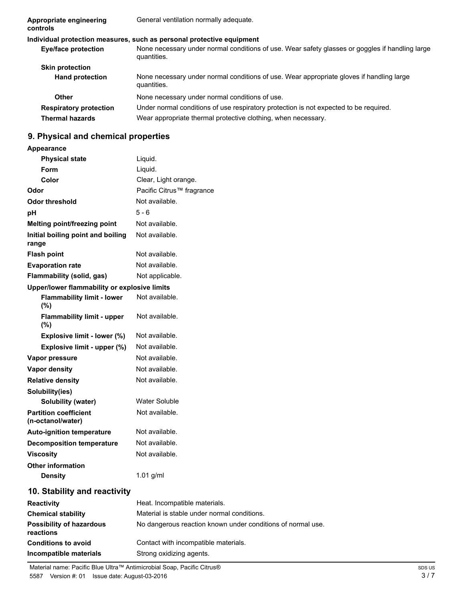| Appropriate engineering<br>controls                     | General ventilation normally adequate.                                                                                                                 |
|---------------------------------------------------------|--------------------------------------------------------------------------------------------------------------------------------------------------------|
|                                                         | Individual protection measures, such as personal protective equipment                                                                                  |
| <b>Eye/face protection</b>                              | None necessary under normal conditions of use. Wear safety glasses or goggles if handling large<br>quantities.                                         |
| <b>Skin protection</b>                                  |                                                                                                                                                        |
| <b>Hand protection</b>                                  | None necessary under normal conditions of use. Wear appropriate gloves if handling large<br>quantities.                                                |
| Other                                                   | None necessary under normal conditions of use.                                                                                                         |
| <b>Respiratory protection</b><br><b>Thermal hazards</b> | Under normal conditions of use respiratory protection is not expected to be required.<br>Wear appropriate thermal protective clothing, when necessary. |

# **9. Physical and chemical properties**

| Appearance |  |
|------------|--|
|------------|--|

| <b>Physical state</b>                             | Liquid.                                                     |
|---------------------------------------------------|-------------------------------------------------------------|
| Form                                              | Liquid.                                                     |
| Color                                             | Clear, Light orange.                                        |
| Odor                                              | Pacific Citrus <sup>™</sup> fragrance                       |
| <b>Odor threshold</b>                             | Not available.                                              |
| рH                                                | $5 - 6$                                                     |
| Melting point/freezing point                      | Not available.                                              |
| Initial boiling point and boiling<br>range        | Not available.                                              |
| <b>Flash point</b>                                | Not available.                                              |
| <b>Evaporation rate</b>                           | Not available.                                              |
| Flammability (solid, gas)                         | Not applicable.                                             |
| Upper/lower flammability or explosive limits      |                                                             |
| <b>Flammability limit - lower</b><br>(%)          | Not available.                                              |
| <b>Flammability limit - upper</b><br>$(\% )$      | Not available.                                              |
| Explosive limit - lower (%)                       | Not available.                                              |
| Explosive limit - upper (%)                       | Not available.                                              |
| Vapor pressure                                    | Not available.                                              |
| Vapor density                                     | Not available.                                              |
| <b>Relative density</b>                           | Not available.                                              |
| Solubility(ies)                                   |                                                             |
| <b>Solubility (water)</b>                         | <b>Water Soluble</b>                                        |
| <b>Partition coefficient</b><br>(n-octanol/water) | Not available.                                              |
| <b>Auto-ignition temperature</b>                  | Not available.                                              |
| <b>Decomposition temperature</b>                  | Not available.                                              |
| Viscosity                                         | Not available.                                              |
| <b>Other information</b>                          |                                                             |
| <b>Density</b>                                    | 1.01 g/ml                                                   |
| 10. Stability and reactivity                      |                                                             |
| <b>Reactivity</b>                                 | Heat. Incompatible materials.                               |
| <b>Chemical stability</b>                         | Material is stable under normal conditions.                 |
| <b>Possibility of hazardous</b><br>reactions      | No dangerous reaction known under conditions of normal use. |
| <b>Conditions to avoid</b>                        | Contact with incompatible materials.                        |

**Incompatible materials** Strong oxidizing agents.

Material name: Pacific Blue Ultra™ Antimicrobial Soap, Pacific Citrus® 5587 Version #: 01 Issue date: August-03-2016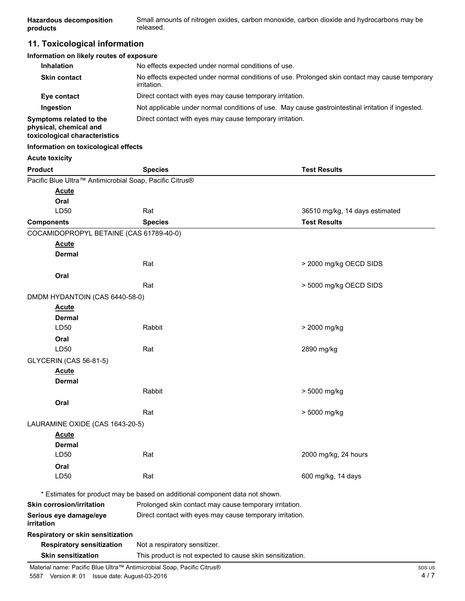| <b>Hazardous decomposition</b><br>products                                             | Small amounts of nitrogen oxides, carbon monoxide, carbon dioxide and hydrocarbons may be<br>released.               |                                |  |
|----------------------------------------------------------------------------------------|----------------------------------------------------------------------------------------------------------------------|--------------------------------|--|
| 11. Toxicological information                                                          |                                                                                                                      |                                |  |
| Information on likely routes of exposure                                               |                                                                                                                      |                                |  |
| Inhalation                                                                             | No effects expected under normal conditions of use.                                                                  |                                |  |
| <b>Skin contact</b>                                                                    | No effects expected under normal conditions of use. Prolonged skin contact may cause temporary<br><i>irritation.</i> |                                |  |
| Eye contact                                                                            | Direct contact with eyes may cause temporary irritation.                                                             |                                |  |
| Ingestion                                                                              | Not applicable under normal conditions of use. May cause gastrointestinal irritation if ingested.                    |                                |  |
| Symptoms related to the<br>physical, chemical and<br>toxicological characteristics     | Direct contact with eyes may cause temporary irritation.                                                             |                                |  |
| Information on toxicological effects                                                   |                                                                                                                      |                                |  |
| <b>Acute toxicity</b>                                                                  |                                                                                                                      |                                |  |
| <b>Product</b>                                                                         | <b>Species</b>                                                                                                       | <b>Test Results</b>            |  |
| Pacific Blue Ultra™ Antimicrobial Soap, Pacific Citrus®                                |                                                                                                                      |                                |  |
| <u>Acute</u>                                                                           |                                                                                                                      |                                |  |
| Oral                                                                                   |                                                                                                                      |                                |  |
| LD50                                                                                   | Rat                                                                                                                  | 36510 mg/kg, 14 days estimated |  |
| <b>Components</b>                                                                      | <b>Species</b>                                                                                                       | <b>Test Results</b>            |  |
| COCAMIDOPROPYL BETAINE (CAS 61789-40-0)                                                |                                                                                                                      |                                |  |
| <b>Acute</b>                                                                           |                                                                                                                      |                                |  |
| Dermal                                                                                 |                                                                                                                      |                                |  |
|                                                                                        | Rat                                                                                                                  | > 2000 mg/kg OECD SIDS         |  |
| Oral                                                                                   |                                                                                                                      |                                |  |
|                                                                                        | Rat                                                                                                                  | > 5000 mg/kg OECD SIDS         |  |
| DMDM HYDANTOIN (CAS 6440-58-0)                                                         |                                                                                                                      |                                |  |
| <u>Acute</u>                                                                           |                                                                                                                      |                                |  |
| Dermal                                                                                 |                                                                                                                      |                                |  |
| LD50                                                                                   | Rabbit                                                                                                               | > 2000 mg/kg                   |  |
| Oral                                                                                   |                                                                                                                      |                                |  |
| LD50                                                                                   | Rat                                                                                                                  | 2890 mg/kg                     |  |
| <b>GLYCERIN (CAS 56-81-5)</b>                                                          |                                                                                                                      |                                |  |
| <b>Acute</b>                                                                           |                                                                                                                      |                                |  |
| Dermal                                                                                 |                                                                                                                      |                                |  |
|                                                                                        | Rabbit                                                                                                               | > 5000 mg/kg                   |  |
| Oral                                                                                   |                                                                                                                      |                                |  |
|                                                                                        | Rat                                                                                                                  | > 5000 mg/kg                   |  |
| LAURAMINE OXIDE (CAS 1643-20-5)                                                        |                                                                                                                      |                                |  |
| <b>Acute</b>                                                                           |                                                                                                                      |                                |  |
| Dermal                                                                                 |                                                                                                                      |                                |  |
| LD50                                                                                   | Rat                                                                                                                  | 2000 mg/kg, 24 hours           |  |
| Oral                                                                                   |                                                                                                                      |                                |  |
| LD50                                                                                   | Rat                                                                                                                  | 600 mg/kg, 14 days             |  |
|                                                                                        | * Estimates for product may be based on additional component data not shown.                                         |                                |  |
| <b>Skin corrosion/irritation</b>                                                       | Prolonged skin contact may cause temporary irritation.                                                               |                                |  |
| Serious eye damage/eye<br>irritation                                                   | Direct contact with eyes may cause temporary irritation.                                                             |                                |  |
| Respiratory or skin sensitization                                                      |                                                                                                                      |                                |  |
| <b>Respiratory sensitization</b>                                                       | Not a respiratory sensitizer.                                                                                        |                                |  |
| <b>Skin sensitization</b><br>This product is not expected to cause skin sensitization. |                                                                                                                      |                                |  |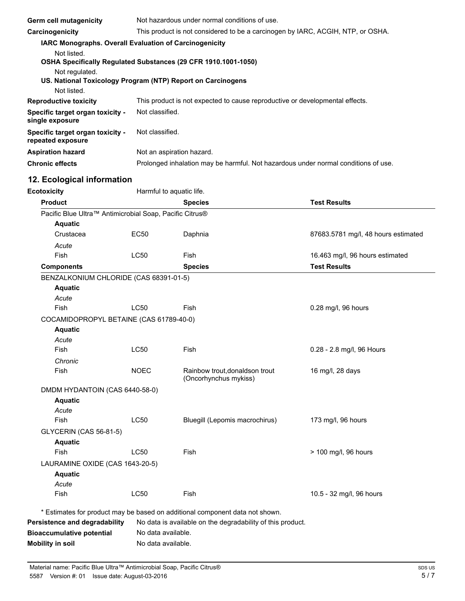| <b>Germ cell mutagenicity</b>                                  | Not hazardous under normal conditions of use.                                      |                           |                                                                              |
|----------------------------------------------------------------|------------------------------------------------------------------------------------|---------------------------|------------------------------------------------------------------------------|
| Carcinogenicity                                                | This product is not considered to be a carcinogen by IARC, ACGIH, NTP, or OSHA.    |                           |                                                                              |
| IARC Monographs. Overall Evaluation of Carcinogenicity         |                                                                                    |                           |                                                                              |
| Not listed.                                                    |                                                                                    |                           |                                                                              |
| OSHA Specifically Regulated Substances (29 CFR 1910.1001-1050) |                                                                                    |                           |                                                                              |
| Not regulated.                                                 |                                                                                    |                           |                                                                              |
| US. National Toxicology Program (NTP) Report on Carcinogens    |                                                                                    |                           |                                                                              |
| Not listed.                                                    |                                                                                    |                           |                                                                              |
| <b>Reproductive toxicity</b>                                   |                                                                                    |                           | This product is not expected to cause reproductive or developmental effects. |
| Specific target organ toxicity -<br>single exposure            | Not classified.                                                                    |                           |                                                                              |
| Specific target organ toxicity -<br>repeated exposure          | Not classified.                                                                    |                           |                                                                              |
| <b>Aspiration hazard</b>                                       |                                                                                    | Not an aspiration hazard. |                                                                              |
| <b>Chronic effects</b>                                         | Prolonged inhalation may be harmful. Not hazardous under normal conditions of use. |                           |                                                                              |
| 12. Ecological information                                     |                                                                                    |                           |                                                                              |
| <b>Ecotoxicity</b>                                             |                                                                                    | Harmful to aquatic life.  |                                                                              |
| <b>Product</b>                                                 |                                                                                    | <b>Species</b>            | <b>Test Results</b>                                                          |
| Pacific Blue Ultra™ Antimicrobial Soap, Pacific Citrus®        |                                                                                    |                           |                                                                              |
| <b>Aquatic</b>                                                 |                                                                                    |                           |                                                                              |
| Crustacea                                                      | <b>EC50</b>                                                                        | Daphnia                   | 87683.5781 mg/l, 48 hours estimated                                          |
| Acute                                                          |                                                                                    |                           |                                                                              |
| Fish                                                           | <b>LC50</b>                                                                        | Fish                      | 16.463 mg/l, 96 hours estimated                                              |
| <b>Components</b>                                              |                                                                                    | <b>Species</b>            | <b>Test Results</b>                                                          |
| BENZALKONIUM CHLORIDE (CAS 68391-01-5)                         |                                                                                    |                           |                                                                              |
| <b>Aquatic</b>                                                 |                                                                                    |                           |                                                                              |
| Acute                                                          |                                                                                    |                           |                                                                              |
| Fish                                                           | <b>LC50</b>                                                                        | Fish                      | 0.28 mg/l, 96 hours                                                          |
| COCAMIDOPROPYL BETAINE (CAS 61789-40-0)                        |                                                                                    |                           |                                                                              |
| <b>Aquatic</b>                                                 |                                                                                    |                           |                                                                              |
| Acute                                                          |                                                                                    |                           |                                                                              |
|                                                                | $-$                                                                                |                           | $\sim$ $\sim$<br>$\sqrt{2}$                                                  |

| Fish                            | <b>LC50</b> | Fish                                                    | 0.28 - 2.8 mg/l, 96 Hours |
|---------------------------------|-------------|---------------------------------------------------------|---------------------------|
| Chronic                         |             |                                                         |                           |
| Fish                            | <b>NOEC</b> | Rainbow trout, donaldson trout<br>(Oncorhynchus mykiss) | 16 mg/l, 28 days          |
| DMDM HYDANTOIN (CAS 6440-58-0)  |             |                                                         |                           |
| <b>Aquatic</b>                  |             |                                                         |                           |
| Acute                           |             |                                                         |                           |
| Fish                            | LC50        | Bluegill (Lepomis macrochirus)                          | 173 mg/l, 96 hours        |
| <b>GLYCERIN (CAS 56-81-5)</b>   |             |                                                         |                           |
| <b>Aquatic</b>                  |             |                                                         |                           |
| Fish                            | <b>LC50</b> | Fish                                                    | > 100 mg/l, 96 hours      |
| LAURAMINE OXIDE (CAS 1643-20-5) |             |                                                         |                           |
| <b>Aquatic</b>                  |             |                                                         |                           |
| Acute                           |             |                                                         |                           |
| <b>Fish</b>                     | LC50        | <b>Fish</b>                                             | 10.5 - 32 mg/l, 96 hours  |
|                                 |             |                                                         |                           |

\* Estimates for product may be based on additional component data not shown.

| Persistence and degradability    | No data is available on the degradability of this product. |
|----------------------------------|------------------------------------------------------------|
| <b>Bioaccumulative potential</b> | No data available.                                         |
| Mobility in soil                 | No data available.                                         |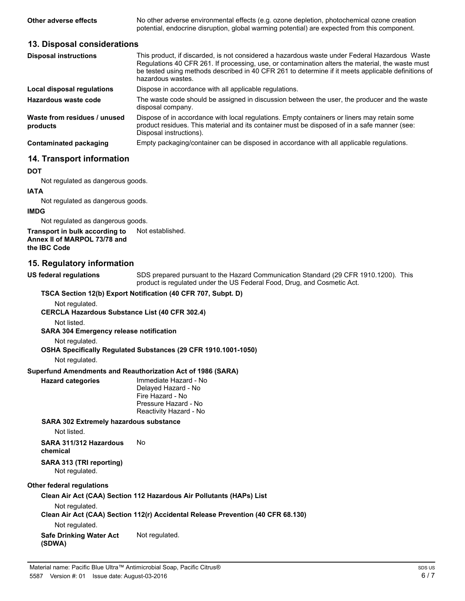**Other adverse effects** No other adverse environmental effects (e.g. ozone depletion, photochemical ozone creation potential, endocrine disruption, global warming potential) are expected from this component.

### **13. Disposal considerations**

| <b>Disposal instructions</b>             | This product, if discarded, is not considered a hazardous waste under Federal Hazardous Waste<br>Regulations 40 CFR 261. If processing, use, or contamination alters the material, the waste must<br>be tested using methods described in 40 CFR 261 to determine if it meets applicable definitions of<br>hazardous wastes |
|------------------------------------------|-----------------------------------------------------------------------------------------------------------------------------------------------------------------------------------------------------------------------------------------------------------------------------------------------------------------------------|
| Local disposal regulations               | Dispose in accordance with all applicable regulations.                                                                                                                                                                                                                                                                      |
| Hazardous waste code                     | The waste code should be assigned in discussion between the user, the producer and the waste<br>disposal company.                                                                                                                                                                                                           |
| Waste from residues / unused<br>products | Dispose of in accordance with local regulations. Empty containers or liners may retain some<br>product residues. This material and its container must be disposed of in a safe manner (see:<br>Disposal instructions).                                                                                                      |
| <b>Contaminated packaging</b>            | Empty packaging/container can be disposed in accordance with all applicable regulations.                                                                                                                                                                                                                                    |

# **14. Transport information**

#### **DOT**

Not regulated as dangerous goods.

#### **IATA**

Not regulated as dangerous goods.

#### **IMDG**

Not regulated as dangerous goods.

#### **Transport in bulk according to** Not established. **Annex II of MARPOL 73/78 and the IBC Code**

### **15. Regulatory information**

**US federal regulations**

SDS prepared pursuant to the Hazard Communication Standard (29 CFR 1910.1200). This product is regulated under the US Federal Food, Drug, and Cosmetic Act.

### **TSCA Section 12(b) Export Notification (40 CFR 707, Subpt. D)**

Not regulated.

**CERCLA Hazardous Substance List (40 CFR 302.4)**

Not listed.

**SARA 304 Emergency release notification**

Not regulated.

**OSHA Specifically Regulated Substances (29 CFR 1910.1001-1050)**

#### Not regulated.

**Superfund Amendments and Reauthorization Act of 1986 (SARA)**

| <b>Hazard categories</b> | Immediate Hazard - No  |
|--------------------------|------------------------|
|                          | Delayed Hazard - No    |
|                          | Fire Hazard - No       |
|                          | Pressure Hazard - No   |
|                          | Reactivity Hazard - No |
|                          |                        |

**SARA 302 Extremely hazardous substance**

Not listed.

**SARA 311/312 Hazardous** No **chemical**

**SARA 313 (TRI reporting)** Not regulated.

#### **Other federal regulations**

**Clean Air Act (CAA) Section 112 Hazardous Air Pollutants (HAPs) List**

Not regulated.

**Clean Air Act (CAA) Section 112(r) Accidental Release Prevention (40 CFR 68.130)**

Not regulated.

**Safe Drinking Water Act** Not regulated. **(SDWA)**